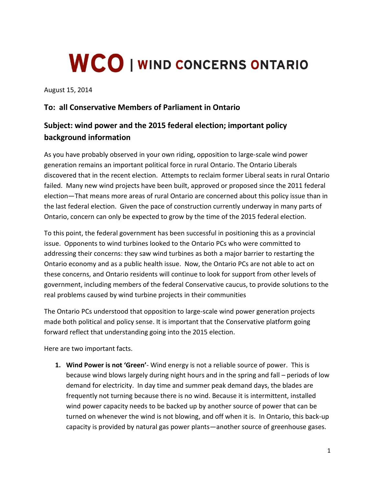## **WCO | WIND CONCERNS ONTARIO**

August 15, 2014

## **To: all Conservative Members of Parliament in Ontario**

## **Subject: wind power and the 2015 federal election; important policy background information**

As you have probably observed in your own riding, opposition to large-scale wind power generation remains an important political force in rural Ontario. The Ontario Liberals discovered that in the recent election. Attempts to reclaim former Liberal seats in rural Ontario failed. Many new wind projects have been built, approved or proposed since the 2011 federal election—That means more areas of rural Ontario are concerned about this policy issue than in the last federal election. Given the pace of construction currently underway in many parts of Ontario, concern can only be expected to grow by the time of the 2015 federal election.

To this point, the federal government has been successful in positioning this as a provincial issue. Opponents to wind turbines looked to the Ontario PCs who were committed to addressing their concerns: they saw wind turbines as both a major barrier to restarting the Ontario economy and as a public health issue. Now, the Ontario PCs are not able to act on these concerns, and Ontario residents will continue to look for support from other levels of government, including members of the federal Conservative caucus, to provide solutions to the real problems caused by wind turbine projects in their communities

The Ontario PCs understood that opposition to large-scale wind power generation projects made both political and policy sense. It is important that the Conservative platform going forward reflect that understanding going into the 2015 election.

Here are two important facts.

**1. Wind Power is not 'Green'**- Wind energy is not a reliable source of power. This is because wind blows largely during night hours and in the spring and fall – periods of low demand for electricity. In day time and summer peak demand days, the blades are frequently not turning because there is no wind. Because it is intermittent, installed wind power capacity needs to be backed up by another source of power that can be turned on whenever the wind is not blowing, and off when it is. In Ontario, this back-up capacity is provided by natural gas power plants—another source of greenhouse gases.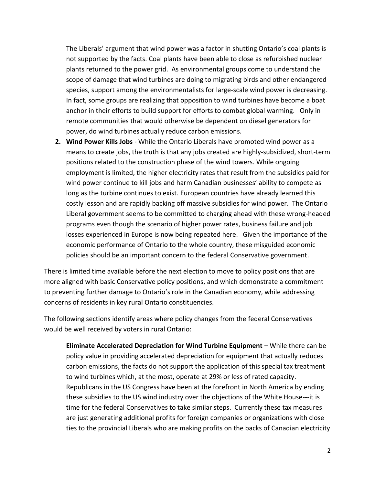The Liberals' argument that wind power was a factor in shutting Ontario's coal plants is not supported by the facts. Coal plants have been able to close as refurbished nuclear plants returned to the power grid. As environmental groups come to understand the scope of damage that wind turbines are doing to migrating birds and other endangered species, support among the environmentalists for large-scale wind power is decreasing. In fact, some groups are realizing that opposition to wind turbines have become a boat anchor in their efforts to build support for efforts to combat global warming. Only in remote communities that would otherwise be dependent on diesel generators for power, do wind turbines actually reduce carbon emissions.

**2. Wind Power Kills Jobs** - While the Ontario Liberals have promoted wind power as a means to create jobs, the truth is that any jobs created are highly-subsidized, short-term positions related to the construction phase of the wind towers. While ongoing employment is limited, the higher electricity rates that result from the subsidies paid for wind power continue to kill jobs and harm Canadian businesses' ability to compete as long as the turbine continues to exist. European countries have already learned this costly lesson and are rapidly backing off massive subsidies for wind power. The Ontario Liberal government seems to be committed to charging ahead with these wrong-headed programs even though the scenario of higher power rates, business failure and job losses experienced in Europe is now being repeated here. Given the importance of the economic performance of Ontario to the whole country, these misguided economic policies should be an important concern to the federal Conservative government.

There is limited time available before the next election to move to policy positions that are more aligned with basic Conservative policy positions, and which demonstrate a commitment to preventing further damage to Ontario's role in the Canadian economy, while addressing concerns of residents in key rural Ontario constituencies.

The following sections identify areas where policy changes from the federal Conservatives would be well received by voters in rural Ontario:

**Eliminate Accelerated Depreciation for Wind Turbine Equipment –** While there can be policy value in providing accelerated depreciation for equipment that actually reduces carbon emissions, the facts do not support the application of this special tax treatment to wind turbines which, at the most, operate at 29% or less of rated capacity. Republicans in the US Congress have been at the forefront in North America by ending these subsidies to the US wind industry over the objections of the White House---it is time for the federal Conservatives to take similar steps. Currently these tax measures are just generating additional profits for foreign companies or organizations with close ties to the provincial Liberals who are making profits on the backs of Canadian electricity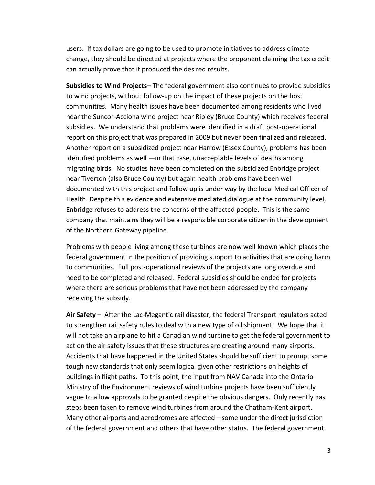users. If tax dollars are going to be used to promote initiatives to address climate change, they should be directed at projects where the proponent claiming the tax credit can actually prove that it produced the desired results.

**Subsidies to Wind Projects–** The federal government also continues to provide subsidies to wind projects, without follow-up on the impact of these projects on the host communities. Many health issues have been documented among residents who lived near the Suncor-Acciona wind project near Ripley (Bruce County) which receives federal subsidies. We understand that problems were identified in a draft post-operational report on this project that was prepared in 2009 but never been finalized and released. Another report on a subsidized project near Harrow (Essex County), problems has been identified problems as well —in that case, unacceptable levels of deaths among migrating birds. No studies have been completed on the subsidized Enbridge project near Tiverton (also Bruce County) but again health problems have been well documented with this project and follow up is under way by the local Medical Officer of Health. Despite this evidence and extensive mediated dialogue at the community level, Enbridge refuses to address the concerns of the affected people. This is the same company that maintains they will be a responsible corporate citizen in the development of the Northern Gateway pipeline.

Problems with people living among these turbines are now well known which places the federal government in the position of providing support to activities that are doing harm to communities. Full post-operational reviews of the projects are long overdue and need to be completed and released. Federal subsidies should be ended for projects where there are serious problems that have not been addressed by the company receiving the subsidy.

**Air Safety –** After the Lac-Megantic rail disaster, the federal Transport regulators acted to strengthen rail safety rules to deal with a new type of oil shipment. We hope that it will not take an airplane to hit a Canadian wind turbine to get the federal government to act on the air safety issues that these structures are creating around many airports. Accidents that have happened in the United States should be sufficient to prompt some tough new standards that only seem logical given other restrictions on heights of buildings in flight paths. To this point, the input from NAV Canada into the Ontario Ministry of the Environment reviews of wind turbine projects have been sufficiently vague to allow approvals to be granted despite the obvious dangers. Only recently has steps been taken to remove wind turbines from around the Chatham-Kent airport. Many other airports and aerodromes are affected—some under the direct jurisdiction of the federal government and others that have other status. The federal government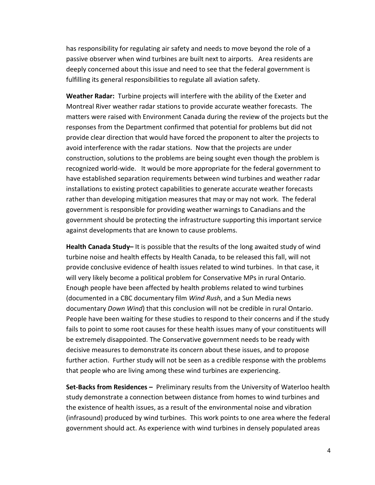has responsibility for regulating air safety and needs to move beyond the role of a passive observer when wind turbines are built next to airports. Area residents are deeply concerned about this issue and need to see that the federal government is fulfilling its general responsibilities to regulate all aviation safety.

**Weather Radar:** Turbine projects will interfere with the ability of the Exeter and Montreal River weather radar stations to provide accurate weather forecasts. The matters were raised with Environment Canada during the review of the projects but the responses from the Department confirmed that potential for problems but did not provide clear direction that would have forced the proponent to alter the projects to avoid interference with the radar stations. Now that the projects are under construction, solutions to the problems are being sought even though the problem is recognized world-wide. It would be more appropriate for the federal government to have established separation requirements between wind turbines and weather radar installations to existing protect capabilities to generate accurate weather forecasts rather than developing mitigation measures that may or may not work. The federal government is responsible for providing weather warnings to Canadians and the government should be protecting the infrastructure supporting this important service against developments that are known to cause problems.

**Health Canada Study–** It is possible that the results of the long awaited study of wind turbine noise and health effects by Health Canada, to be released this fall, will not provide conclusive evidence of health issues related to wind turbines. In that case, it will very likely become a political problem for Conservative MPs in rural Ontario. Enough people have been affected by health problems related to wind turbines (documented in a CBC documentary film *Wind Rush*, and a Sun Media news documentary *Down Wind*) that this conclusion will not be credible in rural Ontario. People have been waiting for these studies to respond to their concerns and if the study fails to point to some root causes for these health issues many of your constituents will be extremely disappointed. The Conservative government needs to be ready with decisive measures to demonstrate its concern about these issues, and to propose further action. Further study will not be seen as a credible response with the problems that people who are living among these wind turbines are experiencing.

**Set-Backs from Residences –** Preliminary results from the University of Waterloo health study demonstrate a connection between distance from homes to wind turbines and the existence of health issues, as a result of the environmental noise and vibration (infrasound) produced by wind turbines. This work points to one area where the federal government should act. As experience with wind turbines in densely populated areas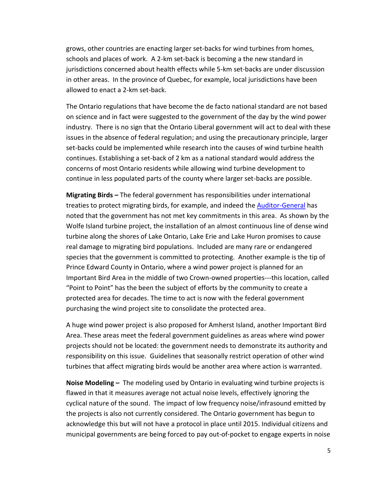grows, other countries are enacting larger set-backs for wind turbines from homes, schools and places of work. A 2-km set-back is becoming a the new standard in jurisdictions concerned about health effects while 5-km set-backs are under discussion in other areas. In the province of Quebec, for example, local jurisdictions have been allowed to enact a 2-km set-back.

The Ontario regulations that have become the de facto national standard are not based on science and in fact were suggested to the government of the day by the wind power industry. There is no sign that the Ontario Liberal government will act to deal with these issues in the absence of federal regulation; and using the precautionary principle, larger set-backs could be implemented while research into the causes of wind turbine health continues. Establishing a set-back of 2 km as a national standard would address the concerns of most Ontario residents while allowing wind turbine development to continue in less populated parts of the county where larger set-backs are possible.

**Migrating Birds –** The federal government has responsibilities under international treaties to protect migrating birds, for example, and indeed th[e Auditor-General](http://www.oag-bvg.gc.ca/internet/English/osh_20131107_e_38775.html) has noted that the government has not met key commitments in this area. As shown by the Wolfe Island turbine project, the installation of an almost continuous line of dense wind turbine along the shores of Lake Ontario, Lake Erie and Lake Huron promises to cause real damage to migrating bird populations. Included are many rare or endangered species that the government is committed to protecting. Another example is the tip of Prince Edward County in Ontario, where a wind power project is planned for an Important Bird Area in the middle of two Crown-owned properties---this location, called "Point to Point" has the been the subject of efforts by the community to create a protected area for decades. The time to act is now with the federal government purchasing the wind project site to consolidate the protected area.

A huge wind power project is also proposed for Amherst Island, another Important Bird Area. These areas meet the federal government guidelines as areas where wind power projects should not be located: the government needs to demonstrate its authority and responsibility on this issue. Guidelines that seasonally restrict operation of other wind turbines that affect migrating birds would be another area where action is warranted.

**Noise Modeling –** The modeling used by Ontario in evaluating wind turbine projects is flawed in that it measures average not actual noise levels, effectively ignoring the cyclical nature of the sound. The impact of low frequency noise/infrasound emitted by the projects is also not currently considered. The Ontario government has begun to acknowledge this but will not have a protocol in place until 2015. Individual citizens and municipal governments are being forced to pay out-of-pocket to engage experts in noise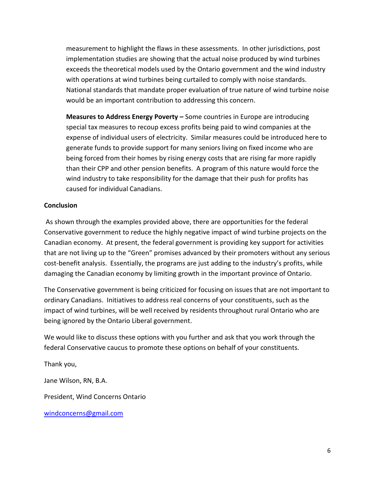measurement to highlight the flaws in these assessments. In other jurisdictions, post implementation studies are showing that the actual noise produced by wind turbines exceeds the theoretical models used by the Ontario government and the wind industry with operations at wind turbines being curtailed to comply with noise standards. National standards that mandate proper evaluation of true nature of wind turbine noise would be an important contribution to addressing this concern.

**Measures to Address Energy Poverty –** Some countries in Europe are introducing special tax measures to recoup excess profits being paid to wind companies at the expense of individual users of electricity. Similar measures could be introduced here to generate funds to provide support for many seniors living on fixed income who are being forced from their homes by rising energy costs that are rising far more rapidly than their CPP and other pension benefits. A program of this nature would force the wind industry to take responsibility for the damage that their push for profits has caused for individual Canadians.

## **Conclusion**

As shown through the examples provided above, there are opportunities for the federal Conservative government to reduce the highly negative impact of wind turbine projects on the Canadian economy. At present, the federal government is providing key support for activities that are not living up to the "Green" promises advanced by their promoters without any serious cost-benefit analysis. Essentially, the programs are just adding to the industry's profits, while damaging the Canadian economy by limiting growth in the important province of Ontario.

The Conservative government is being criticized for focusing on issues that are not important to ordinary Canadians. Initiatives to address real concerns of your constituents, such as the impact of wind turbines, will be well received by residents throughout rural Ontario who are being ignored by the Ontario Liberal government.

We would like to discuss these options with you further and ask that you work through the federal Conservative caucus to promote these options on behalf of your constituents.

Thank you, Jane Wilson, RN, B.A.

President, Wind Concerns Ontario

[windconcerns@gmail.com](mailto:windconcerns@gmail.com)